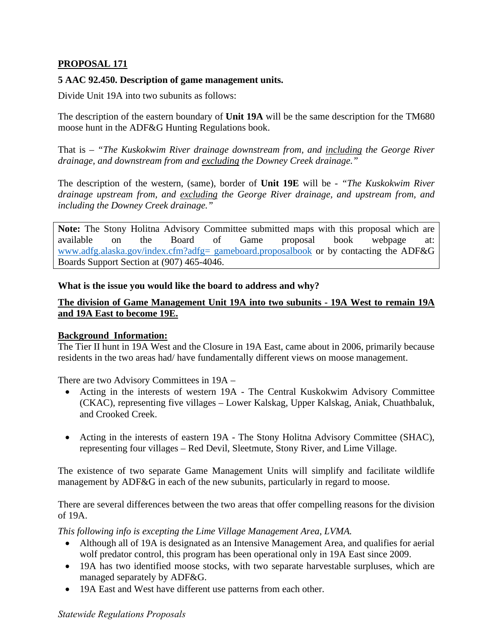## **PROPOSAL 171**

## **5 AAC 92.450. Description of game management units.**

Divide Unit 19A into two subunits as follows:

The description of the eastern boundary of **Unit 19A** will be the same description for the TM680 moose hunt in the ADF&G Hunting Regulations book.

 *drainage, and downstream from and excluding the Downey Creek drainage."* That is – *"The Kuskokwim River drainage downstream from, and including the George River* 

 The description of the western, (same), border of **Unit 19E** will be - *"The Kuskokwim River drainage upstream from, and excluding the George River drainage, and upstream from, and including the Downey Creek drainage."* 

**Note:** The Stony Holitna Advisory Committee submitted maps with this proposal which are available on the Board of Game proposal book webpage at: [www.adfg.alaska.gov/index.cfm?adfg= gameboard.proposalbook](http://www.adfg.alaska.gov/index.cfm?adfg=%20gameboard.proposalbook) or by contacting the ADF&G Boards Support Section at (907) 465-4046.

**What is the issue you would like the board to address and why?** 

## **The division of Game Management Unit 19A into two subunits - 19A West to remain 19A and 19A East to become 19E.**

## **Background Information:**

The Tier II hunt in 19A West and the Closure in 19A East, came about in 2006, primarily because residents in the two areas had/ have fundamentally different views on moose management.

There are two Advisory Committees in 19A –

- (CKAC), representing five villages Lower Kalskag, Upper Kalskag, Aniak, Chuathbaluk, • Acting in the interests of western 19A - The Central Kuskokwim Advisory Committee and Crooked Creek.
- Acting in the interests of eastern 19A The Stony Holitna Advisory Committee (SHAC), representing four villages – Red Devil, Sleetmute, Stony River, and Lime Village.

The existence of two separate Game Management Units will simplify and facilitate wildlife management by ADF&G in each of the new subunits, particularly in regard to moose.

There are several differences between the two areas that offer compelling reasons for the division of 19A.

*This following info is excepting the Lime Village Management Area, LVMA.* 

- Although all of 19A is designated as an Intensive Management Area, and qualifies for aerial wolf predator control, this program has been operational only in 19A East since 2009.
- 19A has two identified moose stocks, with two separate harvestable surpluses, which are managed separately by ADF&G.
- 19A East and West have different use patterns from each other.